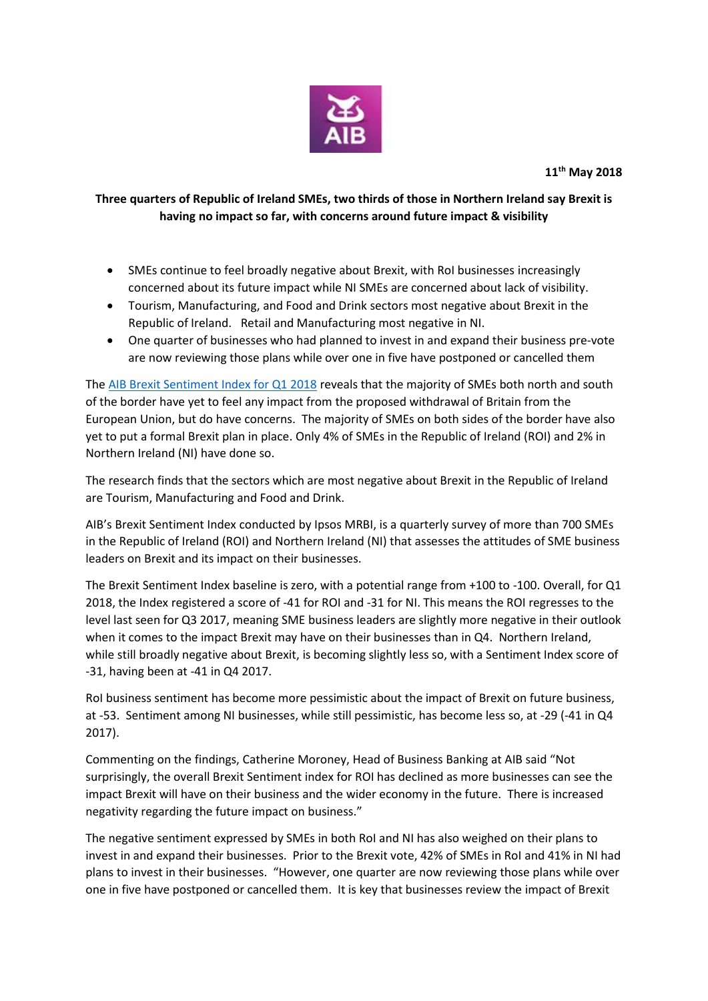

## **Three quarters of Republic of Ireland SMEs, two thirds of those in Northern Ireland say Brexit is having no impact so far, with concerns around future impact & visibility**

- SMEs continue to feel broadly negative about Brexit, with RoI businesses increasingly concerned about its future impact while NI SMEs are concerned about lack of visibility.
- Tourism, Manufacturing, and Food and Drink sectors most negative about Brexit in the Republic of Ireland. Retail and Manufacturing most negative in NI.
- One quarter of businesses who had planned to invest in and expand their business pre-vote are now reviewing those plans while over one in five have postponed or cancelled them

The [AIB Brexit Sentiment Index for Q1 2018](https://fxcentre.aib.ie/content/dam/aib/fxcentre/docs/brexit-sentiment-index-q1-2018.pdf) reveals that the majority of SMEs both north and south of the border have yet to feel any impact from the proposed withdrawal of Britain from the European Union, but do have concerns. The majority of SMEs on both sides of the border have also yet to put a formal Brexit plan in place. Only 4% of SMEs in the Republic of Ireland (ROI) and 2% in Northern Ireland (NI) have done so.

The research finds that the sectors which are most negative about Brexit in the Republic of Ireland are Tourism, Manufacturing and Food and Drink.

AIB's Brexit Sentiment Index conducted by Ipsos MRBI, is a quarterly survey of more than 700 SMEs in the Republic of Ireland (ROI) and Northern Ireland (NI) that assesses the attitudes of SME business leaders on Brexit and its impact on their businesses.

The Brexit Sentiment Index baseline is zero, with a potential range from +100 to -100. Overall, for Q1 2018, the Index registered a score of -41 for ROI and -31 for NI. This means the ROI regresses to the level last seen for Q3 2017, meaning SME business leaders are slightly more negative in their outlook when it comes to the impact Brexit may have on their businesses than in Q4. Northern Ireland, while still broadly negative about Brexit, is becoming slightly less so, with a Sentiment Index score of -31, having been at -41 in Q4 2017.

RoI business sentiment has become more pessimistic about the impact of Brexit on future business, at -53. Sentiment among NI businesses, while still pessimistic, has become less so, at -29 (-41 in Q4 2017).

Commenting on the findings, Catherine Moroney, Head of Business Banking at AIB said "Not surprisingly, the overall Brexit Sentiment index for ROI has declined as more businesses can see the impact Brexit will have on their business and the wider economy in the future. There is increased negativity regarding the future impact on business."

The negative sentiment expressed by SMEs in both RoI and NI has also weighed on their plans to invest in and expand their businesses. Prior to the Brexit vote, 42% of SMEs in RoI and 41% in NI had plans to invest in their businesses. "However, one quarter are now reviewing those plans while over one in five have postponed or cancelled them. It is key that businesses review the impact of Brexit